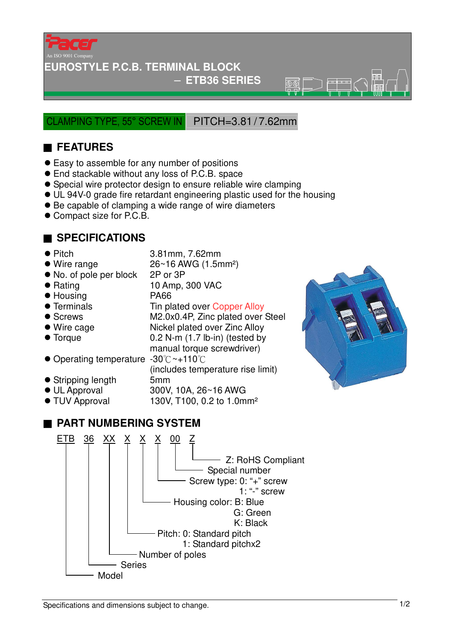

#### **EUROSTYLE P.C.B. TERMINAL BLOCK**

#### − **ETB36 SERIES**

 $\overline{\circledR}$ 

CLAMPING TYPE, 55° SCREW IN PITCH=3.81 / 7.62mm

# ■ **FEATURES**

- Easy to assemble for any number of positions
- End stackable without any loss of P.C.B. space
- Special wire protector design to ensure reliable wire clamping
- UL 94V-0 grade fire retardant engineering plastic used for the housing
- Be capable of clamping a wide range of wire diameters
- Compact size for P.C.B.

### ■ **SPECIFICATIONS**

- Pitch 3.81mm, 7.62mm
- $\bullet$  Wire range  $26~16$  AWG (1.5mm<sup>2</sup>)
- No. of pole per block 2P or 3P
- Rating 10 Amp, 300 VAC
- Housing PA66
- 
- 
- 
- 
- Operating temperature -30°C~+110°C
- Stripping length 5mm
- 
- 

# • Terminals Tin plated over Copper Alloy ● Screws M2.0x0.4P, Zinc plated over Steel ● Wire cage Nickel plated over Zinc Alloy ● Torque 0.2 N-m (1.7 lb-in) (tested by manual torque screwdriver)

(includes temperature rise limit)

● UL Approval 300V, 10A, 26~16 AWG<br>● TUV Approval 130V, T100, 0.2 to 1.0m 130V, T100, 0.2 to 1.0mm<sup>2</sup>

# ■ **PART NUMBERING SYSTEM**